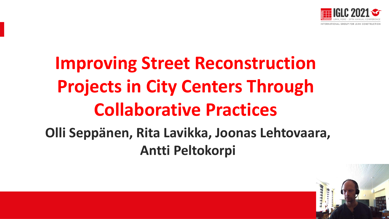

# **Improving Street Reconstruction Projects in City Centers Through Collaborative Practices**

### **Olli Seppänen, Rita Lavikka, Joonas Lehtovaara, Antti Peltokorpi**

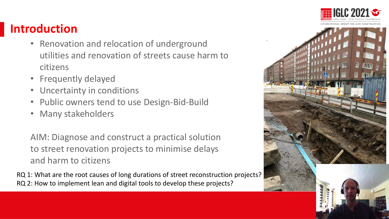#### **Introduction**

- Renovation and relocation of underground utilities and renovation of streets cause harm to citizens
- Frequently delayed
- Uncertainty in conditions
- Public owners tend to use Design-Bid-Build
- Many stakeholders

AIM: Diagnose and construct a practical solution to street renovation projects to minimise delays and harm to citizens

RQ 1: What are the root causes of long durations of street reconstruction projects? RQ 2: How to implement lean and digital tools to develop these projects?

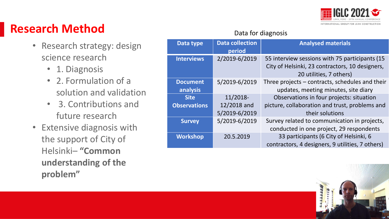

#### **Research Method**

- Research strategy: design science research
	- 1. Diagnosis
	- 2. Formulation of a solution and validation
	- 3. Contributions and future research
- Extensive diagnosis with the support of City of Helsinki– **"Common understanding of the problem"**

#### Data for diagnosis

| Data type                   | <b>Data collection</b><br>period | <b>Analysed materials</b>                                                                                                    |
|-----------------------------|----------------------------------|------------------------------------------------------------------------------------------------------------------------------|
| <b>Interviews</b>           | 2/2019-6/2019                    | 55 interview sessions with 75 participants (15<br>City of Helsinki, 23 contractors, 10 designers,<br>20 utilities, 7 others) |
| <b>Document</b><br>analysis | 5/2019-6/2019                    | Three projects – contracts, schedules and their<br>updates, meeting minutes, site diary                                      |
| <b>Site</b>                 | 11/2018-                         | Observations in four projects: situation                                                                                     |
| <b>Observations</b>         | 12/2018 and<br>5/2019-6/2019     | picture, collaboration and trust, problems and<br>their solutions                                                            |
| <b>Survey</b>               | 5/2019-6/2019                    | Survey related to communication in projects,<br>conducted in one project, 29 respondents                                     |
| <b>Workshop</b>             | 20.5.2019                        | 33 participants (6 City of Helsinki, 6<br>contractors, 4 designers, 9 utilities, 7 others)                                   |

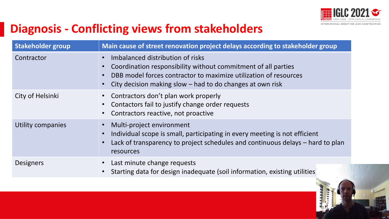

### **Diagnosis - Conflicting views from stakeholders**

| <b>Stakeholder group</b> | Main cause of street renovation project delays according to stakeholder group                                                                                                                                                        |  |
|--------------------------|--------------------------------------------------------------------------------------------------------------------------------------------------------------------------------------------------------------------------------------|--|
| Contractor               | Imbalanced distribution of risks<br>Coordination responsibility without commitment of all parties<br>DBB model forces contractor to maximize utilization of resources<br>City decision making slow $-$ had to do changes at own risk |  |
| City of Helsinki         | Contractors don't plan work properly<br>Contactors fail to justify change order requests<br>Contractors reactive, not proactive                                                                                                      |  |
| Utility companies        | Multi-project environment<br>Individual scope is small, participating in every meeting is not efficient<br>Lack of transparency to project schedules and continuous delays - hard to plan<br>resources                               |  |
| <b>Designers</b>         | Last minute change requests<br>Starting data for design inadequate (soil information, existing utilities)                                                                                                                            |  |

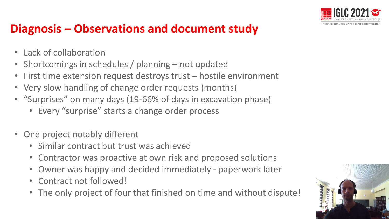

#### **Diagnosis – Observations and document study**

- Lack of collaboration
- Shortcomings in schedules / planning not updated
- First time extension request destroys trust hostile environment
- Very slow handling of change order requests (months)
- "Surprises" on many days (19-66% of days in excavation phase)
	- Every "surprise" starts a change order process
- One project notably different
	- Similar contract but trust was achieved
	- Contractor was proactive at own risk and proposed solutions
	- Owner was happy and decided immediately paperwork later
	- Contract not followed!
	- The only project of four that finished on time and without dispute!

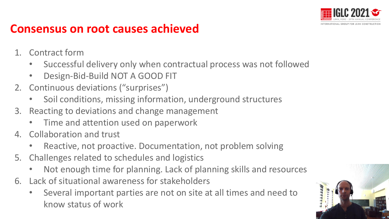

#### **Consensus on root causes achieved**

- 1. Contract form
	- Successful delivery only when contractual process was not followed
	- Design-Bid-Build NOT A GOOD FIT
- 2. Continuous deviations ("surprises")
	- Soil conditions, missing information, underground structures
- 3. Reacting to deviations and change management
	- Time and attention used on paperwork
- 4. Collaboration and trust
	- Reactive, not proactive. Documentation, not problem solving
- 5. Challenges related to schedules and logistics
	- Not enough time for planning. Lack of planning skills and resources
- 6. Lack of situational awareness for stakeholders
	- Several important parties are not on site at all times and need to know status of work

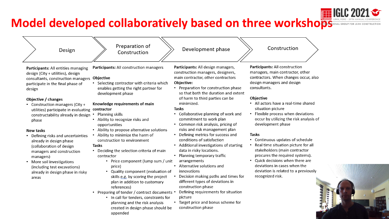#### **Model developed collaboratively based on three workshops**

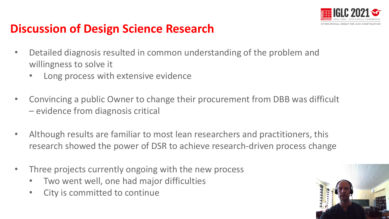

#### **Discussion of Design Science Research**

- Detailed diagnosis resulted in common understanding of the problem and willingness to solve it
	- Long process with extensive evidence
- Convincing a public Owner to change their procurement from DBB was difficult – evidence from diagnosis critical
- Although results are familiar to most lean researchers and practitioners, this research showed the power of DSR to achieve research-driven process change
- Three projects currently ongoing with the new process
	- Two went well, one had major difficulties
	- City is committed to continue

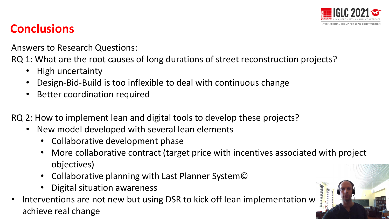

#### **Conclusions**

Answers to Research Questions:

RQ 1: What are the root causes of long durations of street reconstruction projects?

- High uncertainty
- Design-Bid-Build is too inflexible to deal with continuous change
- Better coordination required

RQ 2: How to implement lean and digital tools to develop these projects?

- New model developed with several lean elements
	- Collaborative development phase
	- More collaborative contract (target price with incentives associated with project objectives)
	- Collaborative planning with Last Planner System©
	- Digital situation awareness
- Interventions are not new but using DSR to kick off lean implementation we achieve real change